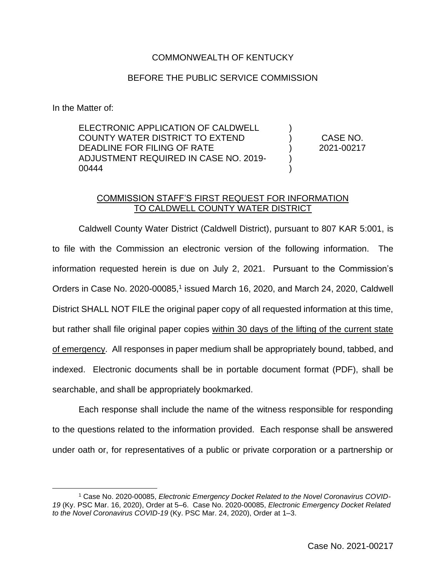## COMMONWEALTH OF KENTUCKY

## BEFORE THE PUBLIC SERVICE COMMISSION

In the Matter of:

ELECTRONIC APPLICATION OF CALDWELL COUNTY WATER DISTRICT TO EXTEND DEADLINE FOR FILING OF RATE ADJUSTMENT REQUIRED IN CASE NO. 2019- 00444

CASE NO. 2021-00217

) ) ) ) )

## COMMISSION STAFF'S FIRST REQUEST FOR INFORMATION TO CALDWELL COUNTY WATER DISTRICT

Caldwell County Water District (Caldwell District), pursuant to 807 KAR 5:001, is to file with the Commission an electronic version of the following information. The information requested herein is due on July 2, 2021. Pursuant to the Commission's Orders in Case No. 2020-00085,<sup>1</sup> issued March 16, 2020, and March 24, 2020, Caldwell District SHALL NOT FILE the original paper copy of all requested information at this time, but rather shall file original paper copies within 30 days of the lifting of the current state of emergency. All responses in paper medium shall be appropriately bound, tabbed, and indexed. Electronic documents shall be in portable document format (PDF), shall be searchable, and shall be appropriately bookmarked.

Each response shall include the name of the witness responsible for responding to the questions related to the information provided. Each response shall be answered under oath or, for representatives of a public or private corporation or a partnership or

<sup>1</sup> Case No. 2020-00085, *Electronic Emergency Docket Related to the Novel Coronavirus COVID-19* (Ky. PSC Mar. 16, 2020), Order at 5–6. Case No. 2020-00085, *Electronic Emergency Docket Related to the Novel Coronavirus COVID-19* (Ky. PSC Mar. 24, 2020), Order at 1–3.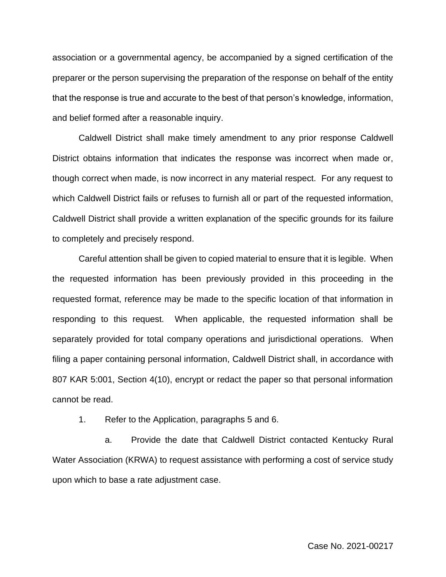association or a governmental agency, be accompanied by a signed certification of the preparer or the person supervising the preparation of the response on behalf of the entity that the response is true and accurate to the best of that person's knowledge, information, and belief formed after a reasonable inquiry.

Caldwell District shall make timely amendment to any prior response Caldwell District obtains information that indicates the response was incorrect when made or, though correct when made, is now incorrect in any material respect. For any request to which Caldwell District fails or refuses to furnish all or part of the requested information, Caldwell District shall provide a written explanation of the specific grounds for its failure to completely and precisely respond.

Careful attention shall be given to copied material to ensure that it is legible. When the requested information has been previously provided in this proceeding in the requested format, reference may be made to the specific location of that information in responding to this request. When applicable, the requested information shall be separately provided for total company operations and jurisdictional operations. When filing a paper containing personal information, Caldwell District shall, in accordance with 807 KAR 5:001, Section 4(10), encrypt or redact the paper so that personal information cannot be read.

1. Refer to the Application, paragraphs 5 and 6.

a. Provide the date that Caldwell District contacted Kentucky Rural Water Association (KRWA) to request assistance with performing a cost of service study upon which to base a rate adjustment case.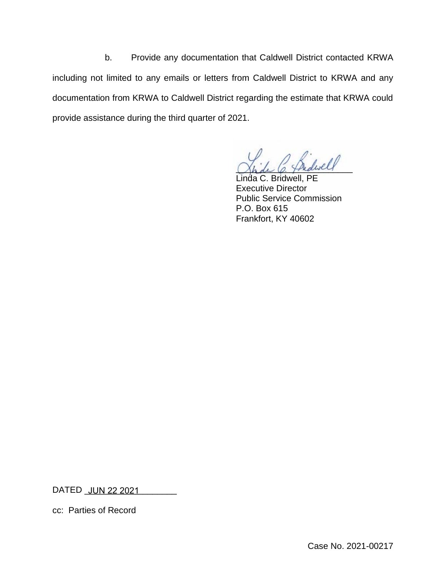b. Provide any documentation that Caldwell District contacted KRWA including not limited to any emails or letters from Caldwell District to KRWA and any documentation from KRWA to Caldwell District regarding the estimate that KRWA could provide assistance during the third quarter of 2021.

 $\omega$ 

C. Bridwell, PE Executive Director Public Service Commission P.O. Box 615 Frankfort, KY 40602

DATED <u>\_JUN 22 2021 \_\_\_\_\_\_\_\_</u>\_

cc: Parties of Record